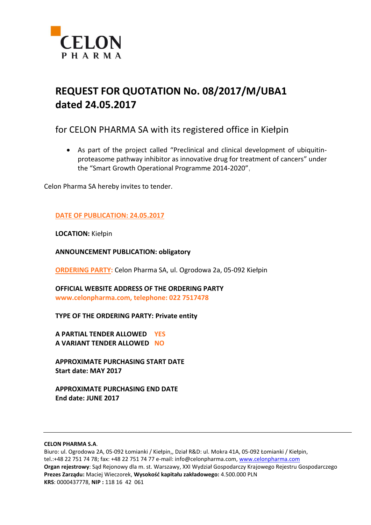

# **REQUEST FOR QUOTATION No. 08/2017/M/UBA1 dated 24.05.2017**

# for CELON PHARMA SA with its registered office in Kiełpin

 As part of the project called "Preclinical and clinical development of ubiquitinproteasome pathway inhibitor as innovative drug for treatment of cancers" under the "Smart Growth Operational Programme 2014-2020",

Celon Pharma SA hereby invites to tender.

# **DATE OF PUBLICATION: 24.05.2017**

**LOCATION:** Kiełpin

**ANNOUNCEMENT PUBLICATION: obligatory**

**ORDERING PARTY:** Celon Pharma SA, ul. Ogrodowa 2a, 05-092 Kiełpin

**OFFICIAL WEBSITE ADDRESS OF THE ORDERING PARTY www.celonpharma.com, telephone: 022 7517478**

**TYPE OF THE ORDERING PARTY: Private entity**

**A PARTIAL TENDER ALLOWED YES A VARIANT TENDER ALLOWED NO**

**APPROXIMATE PURCHASING START DATE Start date: MAY 2017**

**APPROXIMATE PURCHASING END DATE End date: JUNE 2017**

#### **CELON PHARMA S.A**.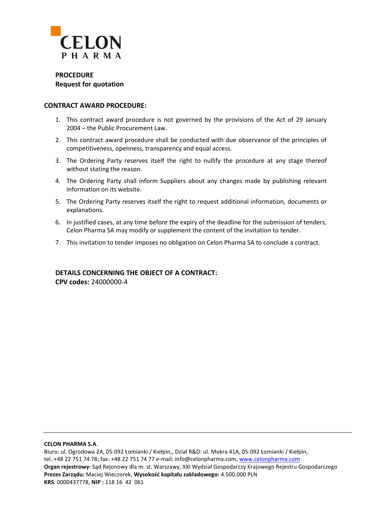

**PROCEDURE Request for quotation**

### **CONTRACT AWARD PROCEDURE:**

- 1. This contract award procedure is not governed by the provisions of the Act of 29 January 2004 – the Public Procurement Law.
- 2. This contract award procedure shall be conducted with due observance of the principles of competitiveness, openness, transparency and equal access.
- 3. The Ordering Party reserves itself the right to nullify the procedure at any stage thereof without stating the reason.
- 4. The Ordering Party shall inform Suppliers about any changes made by publishing relevant information on its website.
- 5. The Ordering Party reserves itself the right to request additional information, documents or explanations.
- 6. In justified cases, at any time before the expiry of the deadline for the submission of tenders, Celon Pharma SA may modify or supplement the content of the invitation to tender.
- 7. This invitation to tender imposes no obligation on Celon Pharma SA to conclude a contract.

# **DETAILS CONCERNING THE OBJECT OF A CONTRACT:**

**CPV codes:** 24000000-4

#### **CELON PHARMA S.A**.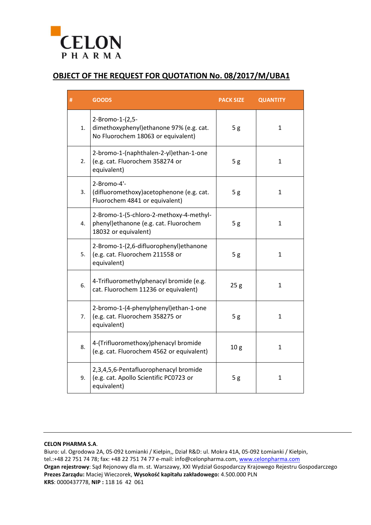

# **OBJECT OF THE REQUEST FOR QUOTATION No. 08/2017/M/UBA1**

| #  | <b>GOODS</b>                                                                                              | <b>PACK SIZE</b> | <b>QUANTITY</b> |
|----|-----------------------------------------------------------------------------------------------------------|------------------|-----------------|
| 1. | 2-Bromo-1-(2,5-<br>dimethoxyphenyl) ethanone 97% (e.g. cat.<br>No Fluorochem 18063 or equivalent)         | 5g               | $\mathbf{1}$    |
| 2. | 2-bromo-1-(naphthalen-2-yl)ethan-1-one<br>(e.g. cat. Fluorochem 358274 or<br>equivalent)                  | 5g               | $\mathbf{1}$    |
| 3. | 2-Bromo-4'-<br>(difluoromethoxy) acetophenone (e.g. cat.<br>Fluorochem 4841 or equivalent)                | 5g               | $\mathbf{1}$    |
| 4. | 2-Bromo-1-(5-chloro-2-methoxy-4-methyl-<br>phenyl) ethanone (e.g. cat. Fluorochem<br>18032 or equivalent) | 5g               | $\mathbf{1}$    |
| 5. | 2-Bromo-1-(2,6-difluorophenyl) ethanone<br>(e.g. cat. Fluorochem 211558 or<br>equivalent)                 | 5g               | $\mathbf{1}$    |
| 6. | 4-Trifluoromethylphenacyl bromide (e.g.<br>cat. Fluorochem 11236 or equivalent)                           | 25g              | $\mathbf{1}$    |
| 7. | 2-bromo-1-(4-phenylphenyl)ethan-1-one<br>(e.g. cat. Fluorochem 358275 or<br>equivalent)                   | 5g               | $\mathbf{1}$    |
| 8. | 4-(Trifluoromethoxy)phenacyl bromide<br>(e.g. cat. Fluorochem 4562 or equivalent)                         | 10 <sub>g</sub>  | $\mathbf{1}$    |
| 9. | 2,3,4,5,6-Pentafluorophenacyl bromide<br>(e.g. cat. Apollo Scientific PC0723 or<br>equivalent)            | 5g               | $\mathbf{1}$    |

#### **CELON PHARMA S.A**.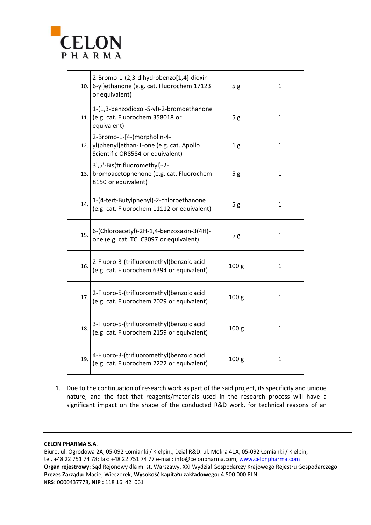

|     | 2-Bromo-1-(2,3-dihydrobenzo[1,4]-dioxin-<br>10. 6-yl) ethanone (e.g. cat. Fluorochem 17123<br>or equivalent)    | $\mathbf{1}$     |              |
|-----|-----------------------------------------------------------------------------------------------------------------|------------------|--------------|
|     | 1-(1,3-benzodioxol-5-yl)-2-bromoethanone<br>11. $\vert$ (e.g. cat. Fluorochem 358018 or<br>equivalent)          | 5g               | $\mathbf{1}$ |
|     | 2-Bromo-1-[4-(morpholin-4-<br>12. yl) phenyl] ethan-1-one (e.g. cat. Apollo<br>Scientific OR8584 or equivalent) | 1 <sub>g</sub>   | $\mathbf{1}$ |
|     | 3',5'-Bis(trifluoromethyl)-2-<br>13. bromoacetophenone (e.g. cat. Fluorochem<br>8150 or equivalent)             | 5g               | 1            |
| 14. | 1-(4-tert-Butylphenyl)-2-chloroethanone<br>(e.g. cat. Fluorochem 11112 or equivalent)                           | 5g               | $\mathbf{1}$ |
| 15. | 6-(Chloroacetyl)-2H-1,4-benzoxazin-3(4H)-<br>one (e.g. cat. TCI C3097 or equivalent)                            | 5g               | $\mathbf{1}$ |
| 16. | 2-Fluoro-3-(trifluoromethyl) benzoic acid<br>(e.g. cat. Fluorochem 6394 or equivalent)                          | 100 <sub>g</sub> | $\mathbf{1}$ |
| 17. | 2-Fluoro-5-(trifluoromethyl) benzoic acid<br>(e.g. cat. Fluorochem 2029 or equivalent)                          | 100 <sub>g</sub> | 1            |
| 18. | 3-Fluoro-5-(trifluoromethyl) benzoic acid<br>100 <sub>g</sub><br>(e.g. cat. Fluorochem 2159 or equivalent)      |                  | 1            |
| 19. | 4-Fluoro-3-(trifluoromethyl) benzoic acid<br>(e.g. cat. Fluorochem 2222 or equivalent)                          | 100 <sub>g</sub> | 1            |

1. Due to the continuation of research work as part of the said project, its specificity and unique nature, and the fact that reagents/materials used in the research process will have a significant impact on the shape of the conducted R&D work, for technical reasons of an

#### **CELON PHARMA S.A**.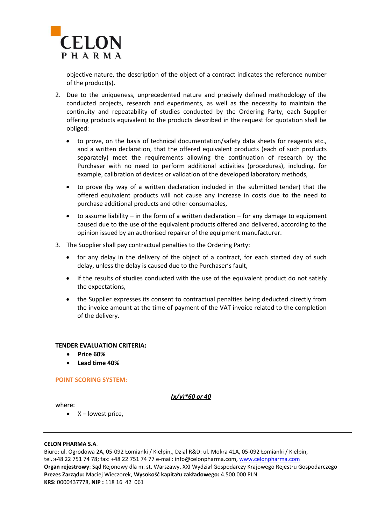

objective nature, the description of the object of a contract indicates the reference number of the product(s).

- 2. Due to the uniqueness, unprecedented nature and precisely defined methodology of the conducted projects, research and experiments, as well as the necessity to maintain the continuity and repeatability of studies conducted by the Ordering Party, each Supplier offering products equivalent to the products described in the request for quotation shall be obliged:
	- to prove, on the basis of technical documentation/safety data sheets for reagents etc., and a written declaration, that the offered equivalent products (each of such products separately) meet the requirements allowing the continuation of research by the Purchaser with no need to perform additional activities (procedures), including, for example, calibration of devices or validation of the developed laboratory methods,
	- to prove (by way of a written declaration included in the submitted tender) that the offered equivalent products will not cause any increase in costs due to the need to purchase additional products and other consumables,
	- to assume liability in the form of a written declaration for any damage to equipment caused due to the use of the equivalent products offered and delivered, according to the opinion issued by an authorised repairer of the equipment manufacturer.
- 3. The Supplier shall pay contractual penalties to the Ordering Party:
	- for any delay in the delivery of the object of a contract, for each started day of such delay, unless the delay is caused due to the Purchaser's fault,
	- if the results of studies conducted with the use of the equivalent product do not satisfy the expectations,
	- the Supplier expresses its consent to contractual penalties being deducted directly from the invoice amount at the time of payment of the VAT invoice related to the completion of the delivery.

### **TENDER EVALUATION CRITERIA:**

- **Price 60%**
- **Lead time 40%**

### **POINT SCORING SYSTEM:**

*(x/y)\*60 or 40*

where:

 $\bullet$   $X$  – lowest price,

#### **CELON PHARMA S.A**.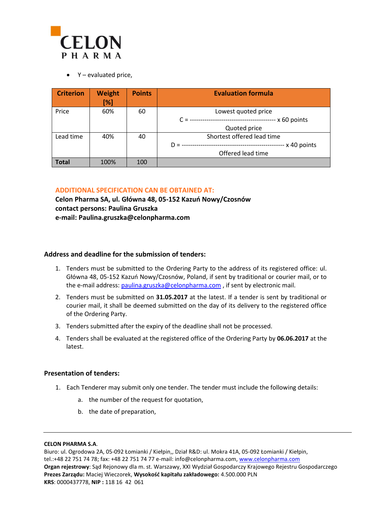

 $\bullet$  Y – evaluated price,

| <b>Criterion</b> | <b>Weight</b><br>[%] | <b>Points</b> | <b>Evaluation formula</b>                                 |
|------------------|----------------------|---------------|-----------------------------------------------------------|
| Price            | 60%                  | 60            | Lowest quoted price                                       |
|                  |                      |               | -- x 60 points<br>$C =$                                   |
|                  |                      |               | Quoted price                                              |
| Lead time        | 40%                  | 40            | Shortest offered lead time                                |
|                  |                      |               | - x 40 points<br>$D =$<br>------------------------------- |
|                  |                      |               | Offered lead time                                         |
| <b>Total</b>     | 100%                 | 100           |                                                           |

# **ADDITIONAL SPECIFICATION CAN BE OBTAINED AT:**

**Celon Pharma SA, ul. Główna 48, 05-152 Kazuń Nowy/Czosnów contact persons: Paulina Gruszka e-mail: Paulina.gruszka@celonpharma.com**

### **Address and deadline for the submission of tenders:**

- 1. Tenders must be submitted to the Ordering Party to the address of its registered office: ul. Główna 48, 05-152 Kazuń Nowy/Czosnów, Poland, if sent by traditional or courier mail, or to the e-mail address[: paulina.gruszka@celonpharma.com](mailto:paulina.gruszka@celonpharma.com), if sent by electronic mail.
- 2. Tenders must be submitted on **31.05.2017** at the latest. If a tender is sent by traditional or courier mail, it shall be deemed submitted on the day of its delivery to the registered office of the Ordering Party.
- 3. Tenders submitted after the expiry of the deadline shall not be processed.
- 4. Tenders shall be evaluated at the registered office of the Ordering Party by **06.06.2017** at the latest.

### **Presentation of tenders:**

- 1. Each Tenderer may submit only one tender. The tender must include the following details:
	- a. the number of the request for quotation,
	- b. the date of preparation,

#### **CELON PHARMA S.A**.